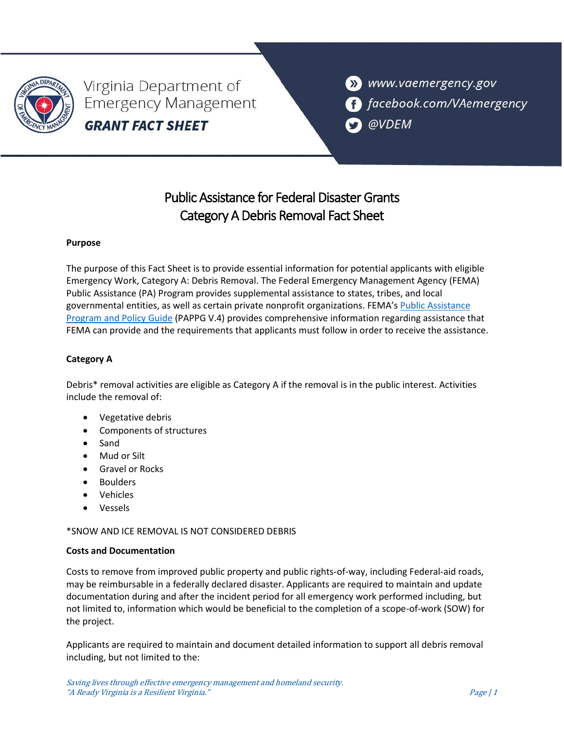

Virginia Department of **Emergency Management GRANT FACT SHEET** 

>> www.vaemergency.gov **f** facebook.com/VAemergency @VDEM

# Public Assistance for Federal Disaster Grants Category A Debris Removal Fact Sheet

## **Purpose**

The purpose of this Fact Sheet is to provide essential information for potential applicants with eligible Emergency Work, Category A: Debris Removal. The Federal Emergency Management Agency (FEMA) Public Assistance (PA) Program provides supplemental assistance to states, tribes, and local governmental entities, as well as certain private nonprofit organizations. FEMA's [Public Assistance](https://www.fema.gov/sites/default/files/documents/fema_pappg-v4-updated-links_policy_6-1-2020.pdf)  Program [and Policy Guide](https://www.fema.gov/sites/default/files/documents/fema_pappg-v4-updated-links_policy_6-1-2020.pdf) (PAPPG V.4) provides comprehensive information regarding assistance that FEMA can provide and the requirements that applicants must follow in order to receive the assistance.

# **Category A**

Debris\* removal activities are eligible as Category A if the removal is in the public interest. Activities include the removal of:

- Vegetative debris
- Components of structures
- Sand
- Mud or Silt
- Gravel or Rocks
- Boulders
- Vehicles
- Vessels

\*SNOW AND ICE REMOVAL IS NOT CONSIDERED DEBRIS

### **Costs and Documentation**

Costs to remove from improved public property and public rights-of-way, including Federal-aid roads, may be reimbursable in a federally declared disaster. Applicants are required to maintain and update documentation during and after the incident period for all emergency work performed including, but not limited to, information which would be beneficial to the completion of a scope-of-work (SOW) for the project.

Applicants are required to maintain and document detailed information to support all debris removal including, but not limited to the: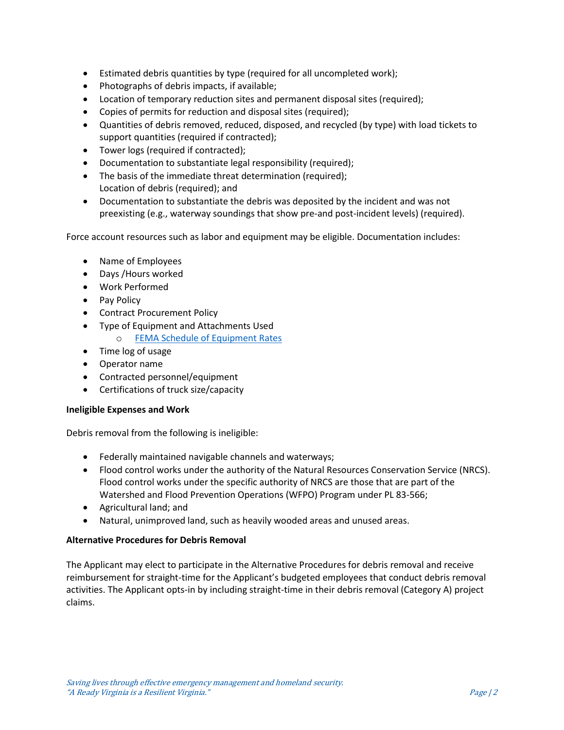- Estimated debris quantities by type (required for all uncompleted work);
- Photographs of debris impacts, if available;
- Location of temporary reduction sites and permanent disposal sites (required);
- Copies of permits for reduction and disposal sites (required);
- Quantities of debris removed, reduced, disposed, and recycled (by type) with load tickets to support quantities (required if contracted);
- Tower logs (required if contracted);
- Documentation to substantiate legal responsibility (required);
- The basis of the immediate threat determination (required); Location of debris (required); and
- Documentation to substantiate the debris was deposited by the incident and was not preexisting (e.g., waterway soundings that show pre-and post-incident levels) (required).

Force account resources such as labor and equipment may be eligible. Documentation includes:

- Name of Employees
- Days /Hours worked
- Work Performed
- Pay Policy
- Contract Procurement Policy
- Type of Equipment and Attachments Used
	- o [FEMA Schedule of Equipment Rates](https://www.fema.gov/assistance/public/schedule-equipment-rates)
- Time log of usage
- Operator name
- Contracted personnel/equipment
- Certifications of truck size/capacity

### **Ineligible Expenses and Work**

Debris removal from the following is ineligible:

- Federally maintained navigable channels and waterways;
- Flood control works under the authority of the Natural Resources Conservation Service (NRCS). Flood control works under the specific authority of NRCS are those that are part of the Watershed and Flood Prevention Operations (WFPO) Program under PL 83-566;
- Agricultural land; and
- Natural, unimproved land, such as heavily wooded areas and unused areas.

### **Alternative Procedures for Debris Removal**

The Applicant may elect to participate in the Alternative Procedures for debris removal and receive reimbursement for straight-time for the Applicant's budgeted employees that conduct debris removal activities. The Applicant opts-in by including straight-time in their debris removal (Category A) project claims.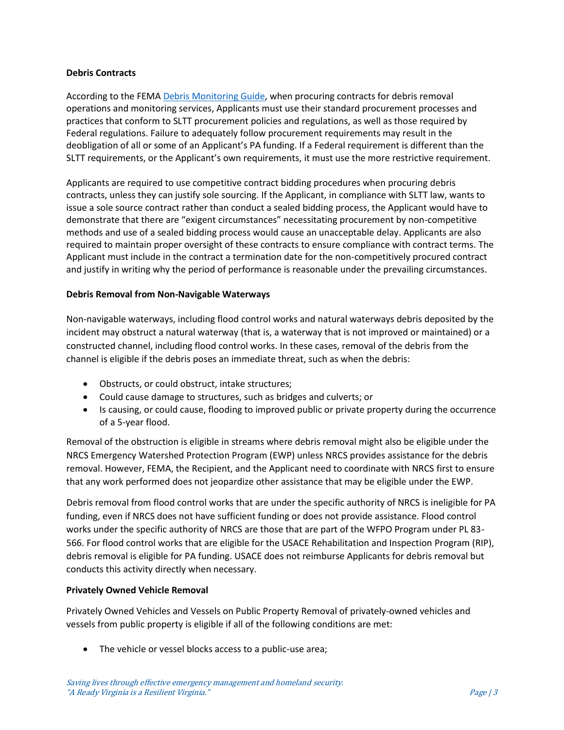#### **Debris Contracts**

According to the FEMA [Debris Monitoring Guide,](https://www.fema.gov/sites/default/files/documents/fema_debris-monitoring-guide_sop_3-01-2021.pdf) when procuring contracts for debris removal operations and monitoring services, Applicants must use their standard procurement processes and practices that conform to SLTT procurement policies and regulations, as well as those required by Federal regulations. Failure to adequately follow procurement requirements may result in the deobligation of all or some of an Applicant's PA funding. If a Federal requirement is different than the SLTT requirements, or the Applicant's own requirements, it must use the more restrictive requirement.

Applicants are required to use competitive contract bidding procedures when procuring debris contracts, unless they can justify sole sourcing. If the Applicant, in compliance with SLTT law, wants to issue a sole source contract rather than conduct a sealed bidding process, the Applicant would have to demonstrate that there are "exigent circumstances" necessitating procurement by non-competitive methods and use of a sealed bidding process would cause an unacceptable delay. Applicants are also required to maintain proper oversight of these contracts to ensure compliance with contract terms. The Applicant must include in the contract a termination date for the non-competitively procured contract and justify in writing why the period of performance is reasonable under the prevailing circumstances.

#### **Debris Removal from Non-Navigable Waterways**

Non-navigable waterways, including flood control works and natural waterways debris deposited by the incident may obstruct a natural waterway (that is, a waterway that is not improved or maintained) or a constructed channel, including flood control works. In these cases, removal of the debris from the channel is eligible if the debris poses an immediate threat, such as when the debris:

- Obstructs, or could obstruct, intake structures;
- Could cause damage to structures, such as bridges and culverts; or
- Is causing, or could cause, flooding to improved public or private property during the occurrence of a 5-year flood.

Removal of the obstruction is eligible in streams where debris removal might also be eligible under the NRCS Emergency Watershed Protection Program (EWP) unless NRCS provides assistance for the debris removal. However, FEMA, the Recipient, and the Applicant need to coordinate with NRCS first to ensure that any work performed does not jeopardize other assistance that may be eligible under the EWP.

Debris removal from flood control works that are under the specific authority of NRCS is ineligible for PA funding, even if NRCS does not have sufficient funding or does not provide assistance. Flood control works under the specific authority of NRCS are those that are part of the WFPO Program under PL 83- 566. For flood control works that are eligible for the USACE Rehabilitation and Inspection Program (RIP), debris removal is eligible for PA funding. USACE does not reimburse Applicants for debris removal but conducts this activity directly when necessary.

### **Privately Owned Vehicle Removal**

Privately Owned Vehicles and Vessels on Public Property Removal of privately-owned vehicles and vessels from public property is eligible if all of the following conditions are met:

• The vehicle or vessel blocks access to a public-use area;